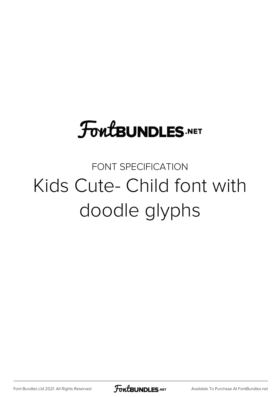# **FoutBUNDLES.NET**

### FONT SPECIFICATION Kids Cute- Child font with doodle glyphs

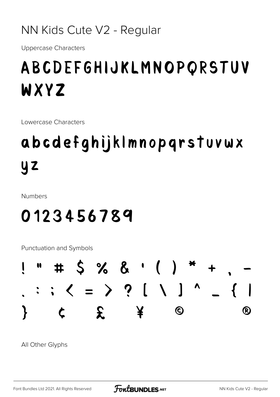NN Kids Cute V2 - Regular

**Uppercase Characters** 

## ABCDEFGHIJKLMNOPQRSTUV WXYZ

Lowercase Characters

## abcdefghijklmnopgrstuvwx  $yz$

**Numbers** 

### 0123456789

**Punctuation and Symbols** 



All Other Glyphs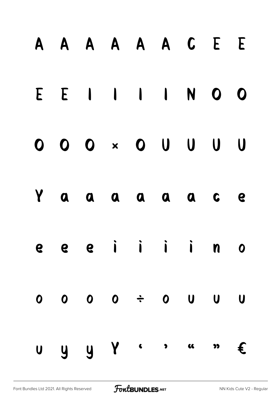| A A A A A A C E E                                      |  |  |  |         |
|--------------------------------------------------------|--|--|--|---------|
| E E I I I I I I I O O                                  |  |  |  |         |
| $0\quad 0\quad 0\quad \times\quad 0\quad 0\quad 0$     |  |  |  | $U$ $U$ |
| Y a a a a a a c e                                      |  |  |  |         |
| e e e i i i i n o                                      |  |  |  |         |
| $0\qquad 0\qquad 0\qquad \div\qquad 0\qquad 0\qquad 0$ |  |  |  |         |
| $U$ y y Y $\leftarrow$ , and $\epsilon$                |  |  |  |         |